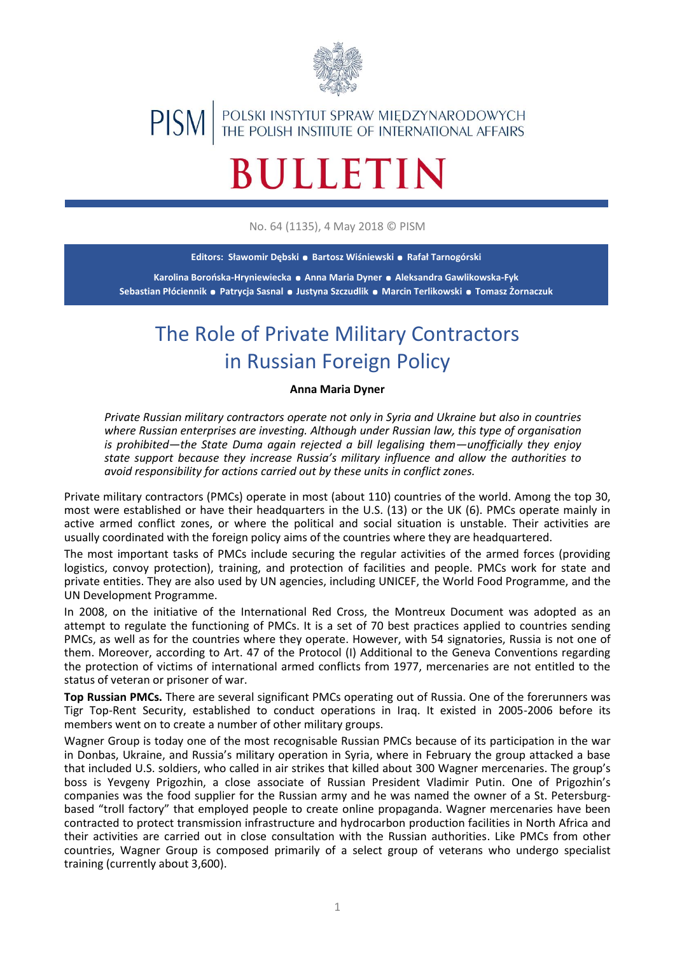

## POLSKI INSTYTUT SPRAW MIĘDZYNARODOWYCH<br>THE POLISH INSTITUTE OF INTERNATIONAL AFFAIRS **PISM**

## **BULLETIN**

No. 64 (1135), 4 May 2018 © PISM

**Editors: Sławomir Dębski . Bartosz Wiśniewski . Rafał Tarnogórski**

**<sup>K</sup>arolina Borońska-Hryniewiecka . Anna Maria Dyner . Aleksandra Gawlikowska-Fyk Sebastian Płóciennik . Patrycja Sasnal. Justyna Szczudlik . Marcin Terlikowski. Tomasz Żornaczuk**

## The Role of Private Military Contractors in Russian Foreign Policy

## **Anna Maria Dyner**

*Private Russian military contractors operate not only in Syria and Ukraine but also in countries where Russian enterprises are investing. Although under Russian law, this type of organisation is prohibited—the State Duma again rejected a bill legalising them—unofficially they enjoy state support because they increase Russia's military influence and allow the authorities to avoid responsibility for actions carried out by these units in conflict zones.*

Private military contractors (PMCs) operate in most (about 110) countries of the world. Among the top 30, most were established or have their headquarters in the U.S. (13) or the UK (6). PMCs operate mainly in active armed conflict zones, or where the political and social situation is unstable. Their activities are usually coordinated with the foreign policy aims of the countries where they are headquartered.

The most important tasks of PMCs include securing the regular activities of the armed forces (providing logistics, convoy protection), training, and protection of facilities and people. PMCs work for state and private entities. They are also used by UN agencies, including UNICEF, the World Food Programme, and the UN Development Programme.

In 2008, on the initiative of the International Red Cross, the Montreux Document was adopted as an attempt to regulate the functioning of PMCs. It is a set of 70 best practices applied to countries sending PMCs, as well as for the countries where they operate. However, with 54 signatories, Russia is not one of them. Moreover, according to Art. 47 of the Protocol (I) Additional to the Geneva Conventions regarding the protection of victims of international armed conflicts from 1977, mercenaries are not entitled to the status of veteran or prisoner of war.

**Top Russian PMCs.** There are several significant PMCs operating out of Russia. One of the forerunners was Tigr Top-Rent Security, established to conduct operations in Iraq. It existed in 2005-2006 before its members went on to create a number of other military groups.

Wagner Group is today one of the most recognisable Russian PMCs because of its participation in the war in Donbas, Ukraine, and Russia's military operation in Syria, where in February the group attacked a base that included U.S. soldiers, who called in air strikes that killed about 300 Wagner mercenaries. The group's boss is Yevgeny Prigozhin, a close associate of Russian President Vladimir Putin. One of Prigozhin's companies was the food supplier for the Russian army and he was named the owner of a St. Petersburgbased "troll factory" that employed people to create online propaganda. Wagner mercenaries have been contracted to protect transmission infrastructure and hydrocarbon production facilities in North Africa and their activities are carried out in close consultation with the Russian authorities. Like PMCs from other countries, Wagner Group is composed primarily of a select group of veterans who undergo specialist training (currently about 3,600).